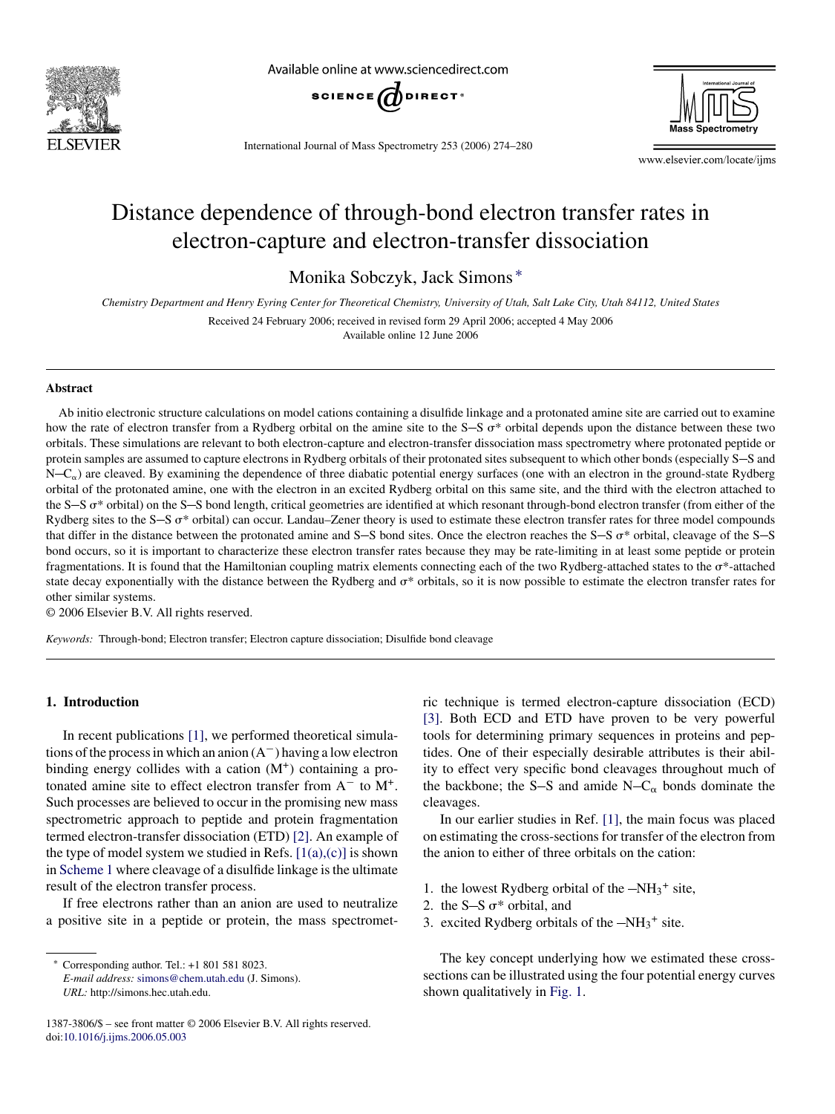

Available online at www.sciencedirect.com



International Journal of Mass Spectrometry 253 (2006) 274–280



www.elsevier.com/locate/ijms

# Distance dependence of through-bond electron transfer rates in electron-capture and electron-transfer dissociation

Monika Sobczyk, Jack Simons ∗

*Chemistry Department and Henry Eyring Center for Theoretical Chemistry, University of Utah, Salt Lake City, Utah 84112, United States*

Received 24 February 2006; received in revised form 29 April 2006; accepted 4 May 2006

Available online 12 June 2006

#### **Abstract**

Ab initio electronic structure calculations on model cations containing a disulfide linkage and a protonated amine site are carried out to examine how the rate of electron transfer from a Rydberg orbital on the amine site to the  $S-S \sigma^*$  orbital depends upon the distance between these two orbitals. These simulations are relevant to both electron-capture and electron-transfer dissociation mass spectrometry where protonated peptide or protein samples are assumed to capture electrons in Rydberg orbitals of their protonated sites subsequent to which other bonds (especially S-S and  $N-C_{\alpha}$ ) are cleaved. By examining the dependence of three diabatic potential energy surfaces (one with an electron in the ground-state Rydberg orbital of the protonated amine, one with the electron in an excited Rydberg orbital on this same site, and the third with the electron attached to the S-S  $\sigma^*$  orbital) on the S-S bond length, critical geometries are identified at which resonant through-bond electron transfer (from either of the Rydberg sites to the  $S-S$   $\sigma^*$  orbital) can occur. Landau–Zener theory is used to estimate these electron transfer rates for three model compounds that differ in the distance between the protonated amine and S-S bond sites. Once the electron reaches the S-S  $\sigma^*$  orbital, cleavage of the S-S bond occurs, so it is important to characterize these electron transfer rates because they may be rate-limiting in at least some peptide or protein fragmentations. It is found that the Hamiltonian coupling matrix elements connecting each of the two Rydberg-attached states to the \*-attached state decay exponentially with the distance between the Rydberg and  $\sigma^*$  orbitals, so it is now possible to estimate the electron transfer rates for other similar systems.

© 2006 Elsevier B.V. All rights reserved.

*Keywords:* Through-bond; Electron transfer; Electron capture dissociation; Disulfide bond cleavage

# **1. Introduction**

In recent publications [\[1\], w](#page-6-0)e performed theoretical simulations of the process in which an anion  $(A<sup>-</sup>)$  having a low electron binding energy collides with a cation  $(M^+)$  containing a protonated amine site to effect electron transfer from A<sup>−</sup> to M+. Such processes are believed to occur in the promising new mass spectrometric approach to peptide and protein fragmentation termed electron-transfer dissociation (ETD) [\[2\]. A](#page-6-0)n example of the type of model system we studied in Refs.  $[1(a),(c)]$  is shown in [Scheme 1](#page-1-0) where cleavage of a disulfide linkage is the ultimate result of the electron transfer process.

If free electrons rather than an anion are used to neutralize a positive site in a peptide or protein, the mass spectromet-

*E-mail address:* [simons@chem.utah.edu](mailto:simons@chem.utah.edu) (J. Simons). *URL:* http://simons.hec.utah.edu.

ric technique is termed electron-capture dissociation (ECD) [\[3\].](#page-6-0) Both ECD and ETD have proven to be very powerful tools for determining primary sequences in proteins and peptides. One of their especially desirable attributes is their ability to effect very specific bond cleavages throughout much of the backbone; the S-S and amide  $N-C_{\alpha}$  bonds dominate the cleavages.

In our earlier studies in Ref. [\[1\],](#page-6-0) the main focus was placed on estimating the cross-sections for transfer of the electron from the anion to either of three orbitals on the cation:

- 1. the lowest Rydberg orbital of the  $-NH_3$ <sup>+</sup> site,
- 2. the S-S  $\sigma^*$  orbital, and
- 3. excited Rydberg orbitals of the  $-NH_3$ <sup>+</sup> site.

The key concept underlying how we estimated these crosssections can be illustrated using the four potential energy curves shown qualitatively in [Fig. 1.](#page-1-0)

<sup>∗</sup> Corresponding author. Tel.: +1 801 581 8023.

<sup>1387-3806/\$ –</sup> see front matter © 2006 Elsevier B.V. All rights reserved. doi[:10.1016/j.ijms.2006.05.003](dx.doi.org/10.1016/j.ijms.2006.05.003)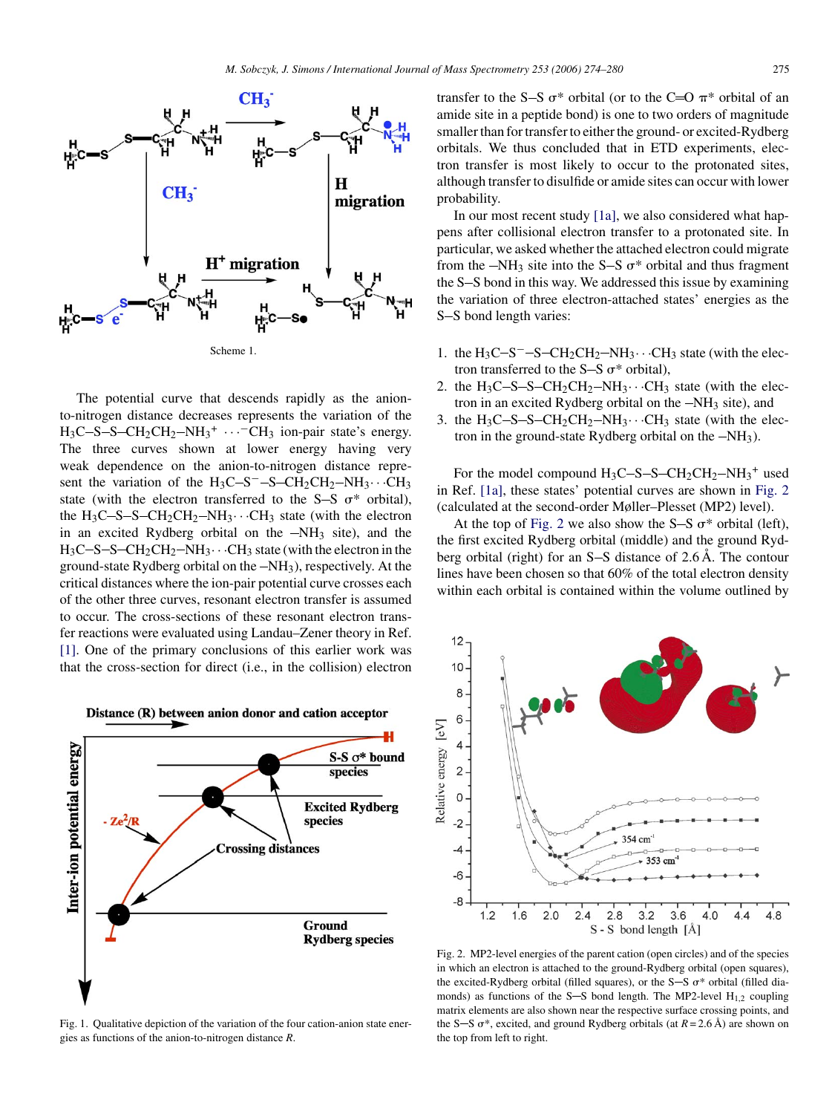<span id="page-1-0"></span>

The potential curve that descends rapidly as the anionto-nitrogen distance decreases represents the variation of the  $H_3C-S-CH_2CH_2-NH_3^+ \cdots$ <sup>-</sup>CH<sub>3</sub> ion-pair state's energy. The three curves shown at lower energy having very weak dependence on the anion-to-nitrogen distance represent the variation of the H<sub>3</sub>C-S<sup>-</sup>-S-CH<sub>2</sub>CH<sub>2</sub>-NH<sub>3</sub>···CH<sub>3</sub> state (with the electron transferred to the S-S  $\sigma^*$  orbital), the  $H_3C-S-CH_2CH_2-NH_3\cdots CH_3$  state (with the electron in an excited Rydberg orbital on the  $-NH_3$  site), and the  $H_3C-S-S-CH_2CH_2-NH_3\cdots CH_3$  state (with the electron in the ground-state Rydberg orbital on the  $-NH_3$ ), respectively. At the critical distances where the ion-pair potential curve crosses each of the other three curves, resonant electron transfer is assumed to occur. The cross-sections of these resonant electron transfer reactions were evaluated using Landau–Zener theory in Ref. [\[1\].](#page-6-0) One of the primary conclusions of this earlier work was that the cross-section for direct (i.e., in the collision) electron



Fig. 1. Qualitative depiction of the variation of the four cation-anion state energies as functions of the anion-to-nitrogen distance *R*.

transfer to the S-S  $\sigma^*$  orbital (or to the C=O  $\pi^*$  orbital of an amide site in a peptide bond) is one to two orders of magnitude smaller than for transfer to either the ground- or excited-Rydberg orbitals. We thus concluded that in ETD experiments, electron transfer is most likely to occur to the protonated sites, although transfer to disulfide or amide sites can occur with lower probability.

In our most recent study [\[1a\],](#page-6-0) we also considered what happens after collisional electron transfer to a protonated site. In particular, we asked whether the attached electron could migrate from the  $-NH_3$  site into the S-S  $\sigma^*$  orbital and thus fragment the S-S bond in this way. We addressed this issue by examining the variation of three electron-attached states' energies as the S-S bond length varies:

- 1. the  $H_3C-S-CH_2CH_2-NH_3\cdots CH_3$  state (with the electron transferred to the S-S  $\sigma^*$  orbital),
- 2. the  $H_3C-S-S-CH_2CH_2-NH_3\cdots CH_3$  state (with the electron in an excited Rydberg orbital on the  $-NH_3$  site), and
- 3. the  $H_3C-S-CH_2CH_2-NH_3\cdots CH_3$  state (with the electron in the ground-state Rydberg orbital on the  $-NH_3$ ).

For the model compound  $H_3C-S-S-CH_2CH_2-NH_3^+$  used in Ref. [\[1a\],](#page-6-0) these states' potential curves are shown in Fig. 2 (calculated at the second-order Møller–Plesset (MP2) level).

At the top of Fig. 2 we also show the S-S  $\sigma^*$  orbital (left), the first excited Rydberg orbital (middle) and the ground Rydberg orbital (right) for an  $S-S$  distance of 2.6 Å. The contour lines have been chosen so that 60% of the total electron density within each orbital is contained within the volume outlined by



Fig. 2. MP2-level energies of the parent cation (open circles) and of the species in which an electron is attached to the ground-Rydberg orbital (open squares), the excited-Rydberg orbital (filled squares), or the S-S  $\sigma^*$  orbital (filled diamonds) as functions of the S-S bond length. The MP2-level  $H_{1,2}$  coupling matrix elements are also shown near the respective surface crossing points, and the S-S  $\sigma^*$ , excited, and ground Rydberg orbitals (at  $R = 2.6 \text{ Å}$ ) are shown on the top from left to right.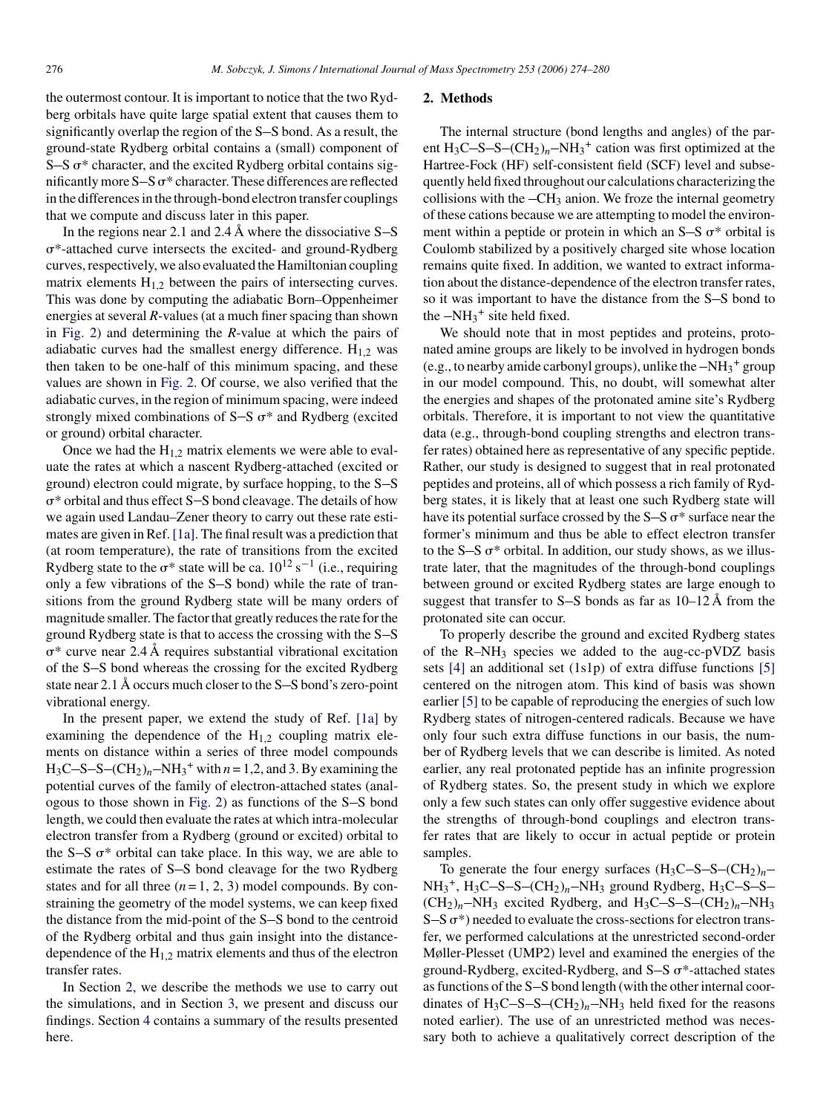the outermost contour. It is important to notice that the two Rydberg orbitals have quite large spatial extent that causes them to significantly overlap the region of the  $S-S$  bond. As a result, the ground-state Rydberg orbital contains a (small) component of S $-S \sigma^*$  character, and the excited Rydberg orbital contains significantly more  $S-S \sigma^*$  character. These differences are reflected in the differences in the through-bond electron transfer couplings that we compute and discuss later in this paper.

In the regions near 2.1 and 2.4  $\AA$  where the dissociative S-S  $\sigma^*$ -attached curve intersects the excited- and ground-Rydberg curves, respectively, we also evaluated the Hamiltonian coupling matrix elements  $H_{1,2}$  between the pairs of intersecting curves. This was done by computing the adiabatic Born–Oppenheimer energies at several *R*-values (at a much finer spacing than shown in [Fig. 2\)](#page-1-0) and determining the *R*-value at which the pairs of adiabatic curves had the smallest energy difference.  $H_{1,2}$  was then taken to be one-half of this minimum spacing, and these values are shown in [Fig. 2.](#page-1-0) Of course, we also verified that the adiabatic curves, in the region of minimum spacing, were indeed strongly mixed combinations of  $S-S$   $\sigma^*$  and Rydberg (excited or ground) orbital character.

Once we had the  $H_{1,2}$  matrix elements we were able to evaluate the rates at which a nascent Rydberg-attached (excited or ground) electron could migrate, by surface hopping, to the  $S-S$  $\sigma^*$  orbital and thus effect S-S bond cleavage. The details of how we again used Landau–Zener theory to carry out these rate estimates are given in Ref. [\[1a\]. T](#page-6-0)he final result was a prediction that (at room temperature), the rate of transitions from the excited Rydberg state to the  $\sigma^*$  state will be ca.  $10^{12}$  s<sup>-1</sup> (i.e., requiring only a few vibrations of the S-S bond) while the rate of transitions from the ground Rydberg state will be many orders of magnitude smaller. The factor that greatly reduces the rate for the ground Rydberg state is that to access the crossing with the S-S  $\sigma^*$  curve near 2.4 Å requires substantial vibrational excitation of the S-S bond whereas the crossing for the excited Rydberg state near  $2.1 \text{ Å}$  occurs much closer to the S-S bond's zero-point vibrational energy.

In the present paper, we extend the study of Ref. [\[1a\]](#page-6-0) by examining the dependence of the  $H<sub>1,2</sub>$  coupling matrix elements on distance within a series of three model compounds  $H_3C-S-S-(CH_2)<sub>n</sub>-NH<sub>3</sub><sup>+</sup>$  with  $n = 1,2$ , and 3. By examining the potential curves of the family of electron-attached states (anal-ogous to those shown in [Fig. 2\)](#page-1-0) as functions of the  $S-S$  bond length, we could then evaluate the rates at which intra-molecular electron transfer from a Rydberg (ground or excited) orbital to the S-S  $\sigma^*$  orbital can take place. In this way, we are able to estimate the rates of S-S bond cleavage for the two Rydberg states and for all three  $(n=1, 2, 3)$  model compounds. By constraining the geometry of the model systems, we can keep fixed the distance from the mid-point of the S-S bond to the centroid of the Rydberg orbital and thus gain insight into the distancedependence of the  $H_{1,2}$  matrix elements and thus of the electron transfer rates.

In Section 2, we describe the methods we use to carry out the simulations, and in Section [3,](#page-3-0) we present and discuss our findings. Section [4](#page-5-0) contains a summary of the results presented here.

#### **2. Methods**

The internal structure (bond lengths and angles) of the parent  $H_3C-S-CCH_2)_n-NH_3^+$  cation was first optimized at the Hartree-Fock (HF) self-consistent field (SCF) level and subsequently held fixed throughout our calculations characterizing the collisions with the  $-CH_3$  anion. We froze the internal geometry of these cations because we are attempting to model the environment within a peptide or protein in which an  $S-S \sigma^*$  orbital is Coulomb stabilized by a positively charged site whose location remains quite fixed. In addition, we wanted to extract information about the distance-dependence of the electron transfer rates, so it was important to have the distance from the S-S bond to the  $-NH_3$ <sup>+</sup> site held fixed.

We should note that in most peptides and proteins, protonated amine groups are likely to be involved in hydrogen bonds (e.g., to nearby amide carbonyl groups), unlike the  $-NH_3$ <sup>+</sup> group in our model compound. This, no doubt, will somewhat alter the energies and shapes of the protonated amine site's Rydberg orbitals. Therefore, it is important to not view the quantitative data (e.g., through-bond coupling strengths and electron transfer rates) obtained here as representative of any specific peptide. Rather, our study is designed to suggest that in real protonated peptides and proteins, all of which possess a rich family of Rydberg states, it is likely that at least one such Rydberg state will have its potential surface crossed by the  $S-S \sigma^*$  surface near the former's minimum and thus be able to effect electron transfer to the S-S  $\sigma^*$  orbital. In addition, our study shows, as we illustrate later, that the magnitudes of the through-bond couplings between ground or excited Rydberg states are large enough to suggest that transfer to S-S bonds as far as  $10-12 \text{ Å}$  from the protonated site can occur.

To properly describe the ground and excited Rydberg states of the  $R-NH_3$  species we added to the aug-cc-pVDZ basis sets [\[4\]](#page-6-0) an additional set (1s1p) of extra diffuse functions [\[5\]](#page-6-0) centered on the nitrogen atom. This kind of basis was shown earlier [\[5\]](#page-6-0) to be capable of reproducing the energies of such low Rydberg states of nitrogen-centered radicals. Because we have only four such extra diffuse functions in our basis, the number of Rydberg levels that we can describe is limited. As noted earlier, any real protonated peptide has an infinite progression of Rydberg states. So, the present study in which we explore only a few such states can only offer suggestive evidence about the strengths of through-bond couplings and electron transfer rates that are likely to occur in actual peptide or protein samples.

To generate the four energy surfaces  $(H_3C-S-S-(CH_2)<sub>n</sub>$  $NH_3^+$ ,  $H_3C-S-S-(CH_2)_n-NH_3$  ground Rydberg,  $H_3C-S-S$  $(CH_2)_n$ -NH<sub>3</sub> excited Rydberg, and H<sub>3</sub>C-S-S- $(CH_2)_n$ -NH<sub>3</sub>  $S-S \sigma^*$ ) needed to evaluate the cross-sections for electron transfer, we performed calculations at the unrestricted second-order Møller-Plesset (UMP2) level and examined the energies of the ground-Rydberg, excited-Rydberg, and S-S  $\sigma^*$ -attached states as functions of the S-S bond length (with the other internal coordinates of  $H_3C-S-CCH_2$ <sub>*n*</sub> $-NH_3$  held fixed for the reasons noted earlier). The use of an unrestricted method was necessary both to achieve a qualitatively correct description of the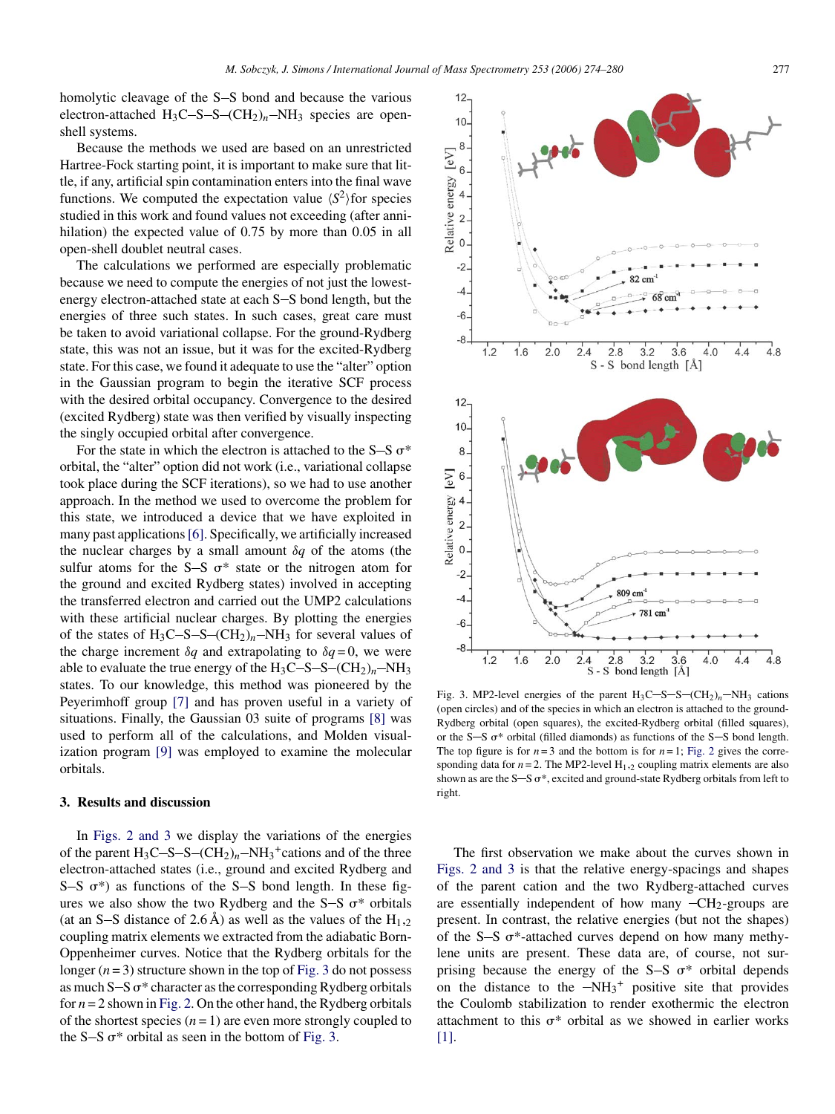<span id="page-3-0"></span>homolytic cleavage of the S-S bond and because the various electron-attached  $H_3C-S-S-(CH_2)<sub>n</sub>-NH<sub>3</sub>$  species are openshell systems.

Because the methods we used are based on an unrestricted Hartree-Fock starting point, it is important to make sure that little, if any, artificial spin contamination enters into the final wave functions. We computed the expectation value  $\langle S^2 \rangle$  for species studied in this work and found values not exceeding (after annihilation) the expected value of 0.75 by more than 0.05 in all open-shell doublet neutral cases.

The calculations we performed are especially problematic because we need to compute the energies of not just the lowestenergy electron-attached state at each S-S bond length, but the energies of three such states. In such cases, great care must be taken to avoid variational collapse. For the ground-Rydberg state, this was not an issue, but it was for the excited-Rydberg state. For this case, we found it adequate to use the "alter" option in the Gaussian program to begin the iterative SCF process with the desired orbital occupancy. Convergence to the desired (excited Rydberg) state was then verified by visually inspecting the singly occupied orbital after convergence.

For the state in which the electron is attached to the S-S  $\sigma^*$ orbital, the "alter" option did not work (i.e., variational collapse took place during the SCF iterations), so we had to use another approach. In the method we used to overcome the problem for this state, we introduced a device that we have exploited in many past applications[\[6\]. S](#page-6-0)pecifically, we artificially increased the nuclear charges by a small amount δ*q* of the atoms (the sulfur atoms for the S-S  $\sigma^*$  state or the nitrogen atom for the ground and excited Rydberg states) involved in accepting the transferred electron and carried out the UMP2 calculations with these artificial nuclear charges. By plotting the energies of the states of  $H_3C-S-CCH_2$ <sub>*n*</sub> $-NH_3$  for several values of the charge increment  $\delta q$  and extrapolating to  $\delta q = 0$ , we were able to evaluate the true energy of the  $H_3C-S-S-(CH_2)<sub>n</sub>-NH<sub>3</sub>$ states. To our knowledge, this method was pioneered by the Peyerimhoff group [\[7\]](#page-6-0) and has proven useful in a variety of situations. Finally, the Gaussian 03 suite of programs [\[8\]](#page-6-0) was used to perform all of the calculations, and Molden visualization program [\[9\]](#page-6-0) was employed to examine the molecular orbitals.

### **3. Results and discussion**

In [Figs. 2 and 3](#page-1-0) we display the variations of the energies of the parent  $H_3C-S-CCH_2)_n-NH_3$ <sup>+</sup>cations and of the three electron-attached states (i.e., ground and excited Rydberg and S-S  $\sigma^*$ ) as functions of the S-S bond length. In these figures we also show the two Rydberg and the S-S  $\sigma^*$  orbitals (at an S-S distance of 2.6 A) as well as the values of the  $H_{1,2}$ coupling matrix elements we extracted from the adiabatic Born-Oppenheimer curves. Notice that the Rydberg orbitals for the longer  $(n=3)$  structure shown in the top of Fig. 3 do not possess as much  $S-S \sigma^*$  character as the corresponding Rydberg orbitals for *n* = 2 shown in [Fig. 2. O](#page-1-0)n the other hand, the Rydberg orbitals of the shortest species  $(n=1)$  are even more strongly coupled to the S-S  $\sigma^*$  orbital as seen in the bottom of Fig. 3.



Fig. 3. MP2-level energies of the parent  $H_3C-S-S-(CH_2)_n-NH_3$  cations (open circles) and of the species in which an electron is attached to the ground-Rydberg orbital (open squares), the excited-Rydberg orbital (filled squares), or the S-S  $\sigma^*$  orbital (filled diamonds) as functions of the S-S bond length. The top figure is for  $n=3$  and the bottom is for  $n=1$ ; [Fig. 2](#page-1-0) gives the corresponding data for  $n = 2$ . The MP2-level H<sub>1</sub>, coupling matrix elements are also shown as are the S-S  $\sigma^*$ , excited and ground-state Rydberg orbitals from left to right.

The first observation we make about the curves shown in [Figs. 2 and 3](#page-1-0) is that the relative energy-spacings and shapes of the parent cation and the two Rydberg-attached curves are essentially independent of how many  $-CH_2$ -groups are present. In contrast, the relative energies (but not the shapes) of the S-S  $\sigma^*$ -attached curves depend on how many methylene units are present. These data are, of course, not surprising because the energy of the S-S  $\sigma^*$  orbital depends on the distance to the  $-NH_3$ <sup>+</sup> positive site that provides the Coulomb stabilization to render exothermic the electron attachment to this  $\sigma^*$  orbital as we showed in earlier works [\[1\].](#page-6-0)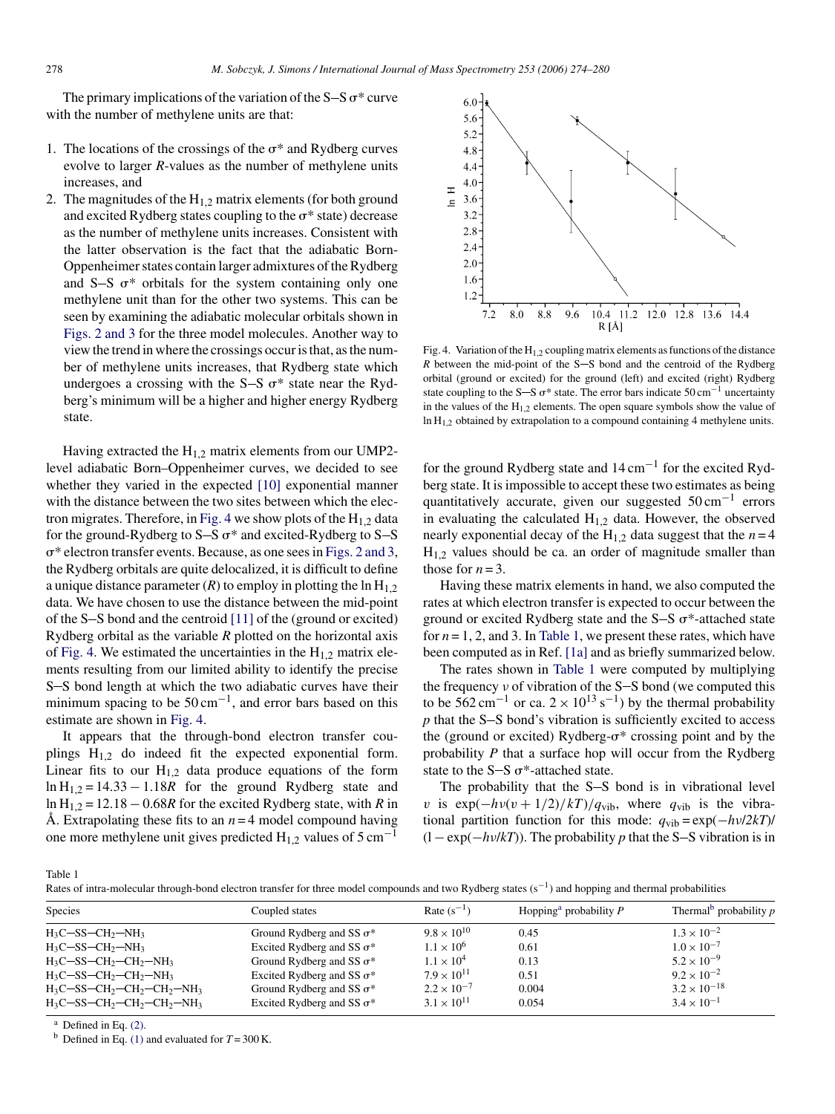<span id="page-4-0"></span>The primary implications of the variation of the  $S-S \sigma^*$  curve with the number of methylene units are that:

- 1. The locations of the crossings of the  $\sigma^*$  and Rydberg curves evolve to larger *R*-values as the number of methylene units increases, and
- 2. The magnitudes of the  $H_{1,2}$  matrix elements (for both ground and excited Rydberg states coupling to the  $\sigma^*$  state) decrease as the number of methylene units increases. Consistent with the latter observation is the fact that the adiabatic Born-Oppenheimer states contain larger admixtures of the Rydberg and S-S  $\sigma^*$  orbitals for the system containing only one methylene unit than for the other two systems. This can be seen by examining the adiabatic molecular orbitals shown in [Figs. 2 and 3](#page-1-0) for the three model molecules. Another way to view the trend in where the crossings occur is that, as the number of methylene units increases, that Rydberg state which undergoes a crossing with the S-S  $\sigma^*$  state near the Rydberg's minimum will be a higher and higher energy Rydberg state.

Having extracted the  $H_{1,2}$  matrix elements from our UMP2level adiabatic Born–Oppenheimer curves, we decided to see whether they varied in the expected [\[10\]](#page-6-0) exponential manner with the distance between the two sites between which the electron migrates. Therefore, in Fig. 4 we show plots of the  $H_{1,2}$  data for the ground-Rydberg to  $S-S$   $\sigma^*$  and excited-Rydberg to  $S-S$  $\sigma^*$  electron transfer events. Because, as one sees in [Figs. 2 and 3,](#page-1-0) the Rydberg orbitals are quite delocalized, it is difficult to define a unique distance parameter  $(R)$  to employ in plotting the ln  $H_{1,2}$ data. We have chosen to use the distance between the mid-point of the  $S-S$  bond and the centroid [\[11\]](#page-6-0) of the (ground or excited) Rydberg orbital as the variable *R* plotted on the horizontal axis of Fig. 4. We estimated the uncertainties in the  $H_{1,2}$  matrix elements resulting from our limited ability to identify the precise S-S bond length at which the two adiabatic curves have their minimum spacing to be  $50 \text{ cm}^{-1}$ , and error bars based on this estimate are shown in Fig. 4.

It appears that the through-bond electron transfer couplings  $H_{1,2}$  do indeed fit the expected exponential form. Linear fits to our  $H_{1,2}$  data produce equations of the form  $\ln H_{1,2} = 14.33 - 1.18R$  for the ground Rydberg state and ln H<sub>1,2</sub> = 12.18 – 0.68*R* for the excited Rydberg state, with *R* in Å. Extrapolating these fits to an  $n = 4$  model compound having one more methylene unit gives predicted  $H_{1,2}$  values of 5 cm<sup>-1</sup>



Fig. 4. Variation of the  $H_{1,2}$  coupling matrix elements as functions of the distance  $R$  between the mid-point of the  $S-S$  bond and the centroid of the Rydberg orbital (ground or excited) for the ground (left) and excited (right) Rydberg state coupling to the S-S  $\sigma^*$  state. The error bars indicate 50 cm<sup>-1</sup> uncertainty in the values of the  $H_{1,2}$  elements. The open square symbols show the value of  $\ln H_{1,2}$  obtained by extrapolation to a compound containing 4 methylene units.

for the ground Rydberg state and  $14 \text{ cm}^{-1}$  for the excited Rydberg state. It is impossible to accept these two estimates as being quantitatively accurate, given our suggested  $50 \text{ cm}^{-1}$  errors in evaluating the calculated  $H_{1,2}$  data. However, the observed nearly exponential decay of the  $H_{1,2}$  data suggest that the  $n = 4$  $H<sub>1,2</sub>$  values should be ca. an order of magnitude smaller than those for  $n = 3$ .

Having these matrix elements in hand, we also computed the rates at which electron transfer is expected to occur between the ground or excited Rydberg state and the  $S-S \sigma^*$ -attached state for  $n = 1, 2$ , and 3. In Table 1, we present these rates, which have been computed as in Ref. [\[1a\]](#page-6-0) and as briefly summarized below.

The rates shown in Table 1 were computed by multiplying the frequency  $\nu$  of vibration of the S-S bond (we computed this to be 562 cm<sup>-1</sup> or ca.  $2 \times 10^{13}$  s<sup>-1</sup>) by the thermal probability  $p$  that the S-S bond's vibration is sufficiently excited to access the (ground or excited) Rydberg- $\sigma^*$  crossing point and by the probability *P* that a surface hop will occur from the Rydberg state to the S-S  $\sigma^*$ -attached state.

The probability that the  $S-S$  bond is in vibrational level v is  $\exp(-h\nu(\nu+1/2)/kT)/q_{\text{vib}}$ , where  $q_{\text{vib}}$  is the vibrational partition function for this mode: *q*vib = exp(−*h*ν/*2kT*)/  $(1 - \exp(-h\nu/kT))$ . The probability *p* that the S–S vibration is in

Table 1

Rates of intra-molecular through-bond electron transfer for three model compounds and two Rydberg states  $(s^{-1})$  and hopping and thermal probabilities

| Species                       | Coupled states                    | Rate $(s^{-1})$      | Hopping <sup>a</sup> probability $P$ | Thermal <sup>b</sup> probability $p$ |
|-------------------------------|-----------------------------------|----------------------|--------------------------------------|--------------------------------------|
| $H_3C-SS-CH_2-NH_3$           | Ground Rydberg and SS $\sigma^*$  | $9.8 \times 10^{10}$ | 0.45                                 | $1.3 \times 10^{-2}$                 |
| $H_3C-SS-CH_2-NH_3$           | Excited Rydberg and SS $\sigma^*$ | $1.1 \times 10^{6}$  | 0.61                                 | $1.0 \times 10^{-7}$                 |
| $H_3C-SS-CH_2-CH_2-NH_3$      | Ground Rydberg and SS $\sigma^*$  | $1.1 \times 10^{4}$  | 0.13                                 | $5.2 \times 10^{-9}$                 |
| $H_3C-SS-CH_2-CH_2-NH_3$      | Excited Rydberg and SS $\sigma^*$ | $7.9 \times 10^{11}$ | 0.51                                 | $9.2 \times 10^{-2}$                 |
| $H_3C-SS-CH_2-CH_2-CH_2-NH_3$ | Ground Rydberg and SS $\sigma^*$  | $2.2 \times 10^{-7}$ | 0.004                                | $3.2 \times 10^{-18}$                |
| $H_3C-SS-CH_2-CH_2-CH_2-NH_3$ | Excited Rydberg and SS $\sigma^*$ | $3.1 \times 10^{11}$ | 0.054                                | $3.4 \times 10^{-1}$                 |

 $a$  Defined in Eq.  $(2)$ .

<sup>b</sup> Defined in Eq. [\(1\)](#page-5-0) and evaluated for  $T = 300$  K.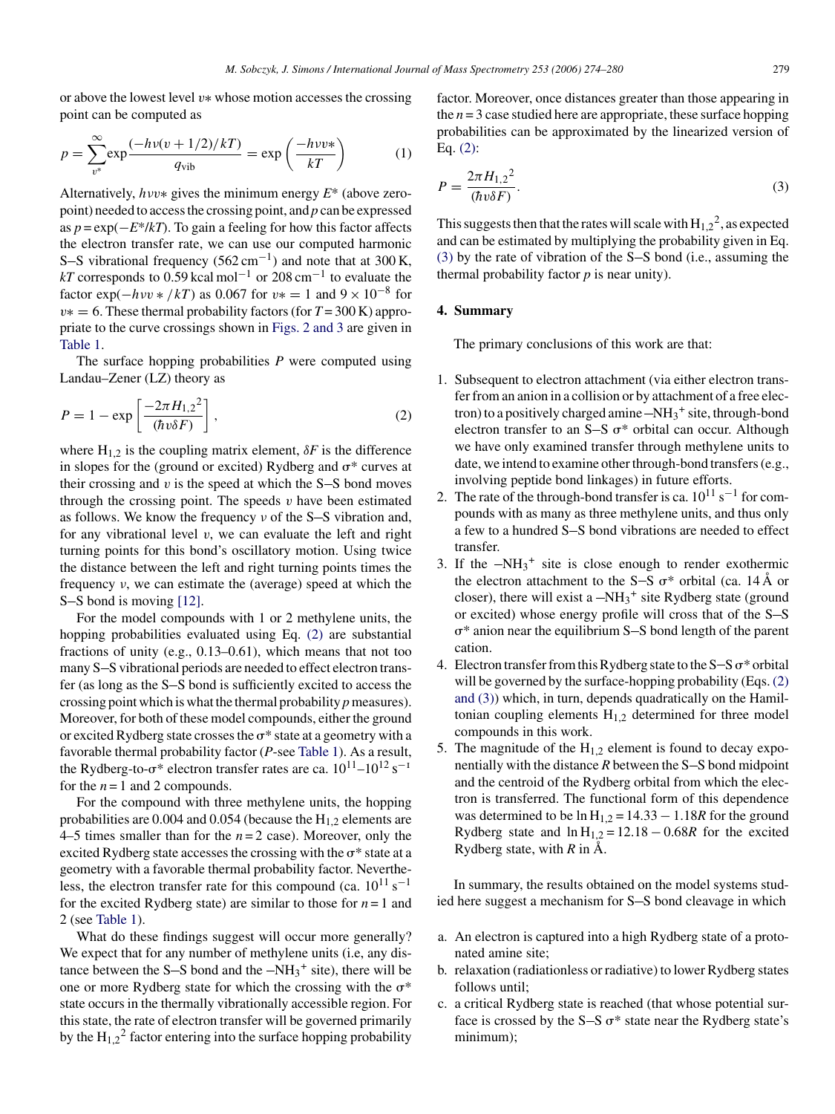<span id="page-5-0"></span>or above the lowest level v∗ whose motion accesses the crossing point can be computed as

$$
p = \sum_{v^*}^{\infty} \exp\frac{(-h v(v + 1/2)/kT)}{q_{\text{vib}}} = \exp\left(\frac{-h v v^*}{kT}\right)
$$
(1)

Alternatively, hνv∗ gives the minimum energy *E*\* (above zeropoint) needed to access the crossing point, and *p* can be expressed as *p* = exp(−*E*\*/*kT*). To gain a feeling for how this factor affects the electron transfer rate, we can use our computed harmonic S-S vibrational frequency  $(562 \text{ cm}^{-1})$  and note that at 300 K, *kT* corresponds to  $0.59$  kcal mol<sup>-1</sup> or  $208$  cm<sup>-1</sup> to evaluate the factor exp( $-h\nu v * /kT$ ) as 0.067 for  $v* = 1$  and  $9 \times 10^{-8}$  for v∗ = 6. These thermal probability factors (for *T* = 300 K) appropriate to the curve crossings shown in [Figs. 2 and 3](#page-1-0) are given in [Table 1.](#page-4-0)

The surface hopping probabilities *P* were computed using Landau–Zener (LZ) theory as

$$
P = 1 - \exp\left[\frac{-2\pi H_{1,2}^2}{(\hbar v \delta F)}\right],\tag{2}
$$

where  $H_{1,2}$  is the coupling matrix element,  $\delta F$  is the difference in slopes for the (ground or excited) Rydberg and  $\sigma^*$  curves at their crossing and  $v$  is the speed at which the S-S bond moves through the crossing point. The speeds  $\nu$  have been estimated as follows. We know the frequency  $\nu$  of the S-S vibration and, for any vibrational level  $v$ , we can evaluate the left and right turning points for this bond's oscillatory motion. Using twice the distance between the left and right turning points times the frequency ν, we can estimate the (average) speed at which the S-S bond is moving  $[12]$ .

For the model compounds with 1 or 2 methylene units, the hopping probabilities evaluated using Eq. (2) are substantial fractions of unity (e.g., 0.13–0.61), which means that not too many S-S vibrational periods are needed to effect electron transfer (as long as the S-S bond is sufficiently excited to access the crossing point which is what the thermal probability *p* measures). Moreover, for both of these model compounds, either the ground or excited Rydberg state crosses the  $\sigma^*$  state at a geometry with a favorable thermal probability factor (*P*-see [Table 1\).](#page-4-0) As a result, the Rydberg-to- $\sigma^*$  electron transfer rates are ca.  $10^{11}$ – $10^{12}$  s<sup>-1</sup> for the  $n = 1$  and 2 compounds.

For the compound with three methylene units, the hopping probabilities are  $0.004$  and  $0.054$  (because the  $H<sub>1,2</sub>$  elements are 4–5 times smaller than for the  $n = 2$  case). Moreover, only the excited Rydberg state accesses the crossing with the  $\sigma^*$  state at a geometry with a favorable thermal probability factor. Nevertheless, the electron transfer rate for this compound (ca.  $10^{11}$  s<sup>-1</sup> for the excited Rydberg state) are similar to those for  $n = 1$  and 2 (see [Table 1\).](#page-4-0)

What do these findings suggest will occur more generally? We expect that for any number of methylene units (i.e, any distance between the S-S bond and the  $-NH_3^+$  site), there will be one or more Rydberg state for which the crossing with the  $\sigma^*$ state occurs in the thermally vibrationally accessible region. For this state, the rate of electron transfer will be governed primarily by the  $H_{1,2}^2$  factor entering into the surface hopping probability factor. Moreover, once distances greater than those appearing in the  $n = 3$  case studied here are appropriate, these surface hopping probabilities can be approximated by the linearized version of Eq. (2):

$$
P = \frac{2\pi H_{1,2}^2}{(\hbar v \delta F)}.
$$
\n(3)

This suggests then that the rates will scale with  $H_1^2$ , as expected and can be estimated by multiplying the probability given in Eq.  $(3)$  by the rate of vibration of the S-S bond (i.e., assuming the thermal probability factor *p* is near unity).

#### **4. Summary**

The primary conclusions of this work are that:

- 1. Subsequent to electron attachment (via either electron transfer from an anion in a collision or by attachment of a free electron) to a positively charged amine  $-NH_3^+$  site, through-bond electron transfer to an  $S-S$   $\sigma^*$  orbital can occur. Although we have only examined transfer through methylene units to date, we intend to examine other through-bond transfers (e.g., involving peptide bond linkages) in future efforts.
- 2. The rate of the through-bond transfer is ca.  $10^{11}$  s<sup>-1</sup> for compounds with as many as three methylene units, and thus only a few to a hundred S-S bond vibrations are needed to effect transfer.
- 3. If the  $-NH_3$ <sup>+</sup> site is close enough to render exothermic the electron attachment to the S-S  $\sigma^*$  orbital (ca. 14 Å or closer), there will exist a  $-NH_3^+$  site Rydberg state (ground or excited) whose energy profile will cross that of the  $S-S$  $\sigma^*$  anion near the equilibrium S-S bond length of the parent cation.
- 4. Electron transfer from this Rydberg state to the  $S-S \sigma^*$  orbital will be governed by the surface-hopping probability (Eqs. (2) and (3)) which, in turn, depends quadratically on the Hamiltonian coupling elements  $H_{1,2}$  determined for three model compounds in this work.
- 5. The magnitude of the  $H_{1,2}$  element is found to decay exponentially with the distance  $R$  between the  $S-S$  bond midpoint and the centroid of the Rydberg orbital from which the electron is transferred. The functional form of this dependence was determined to be  $\ln H_{1,2} = 14.33 - 1.18R$  for the ground Rydberg state and  $\ln H_{1,2} = 12.18 - 0.68R$  for the excited Rydberg state, with  $R$  in  $\dot{A}$ .

In summary, the results obtained on the model systems studied here suggest a mechanism for S-S bond cleavage in which

- a. An electron is captured into a high Rydberg state of a protonated amine site;
- b. relaxation (radiationless or radiative) to lower Rydberg states follows until;
- c. a critical Rydberg state is reached (that whose potential surface is crossed by the  $S-S \sigma^*$  state near the Rydberg state's minimum);